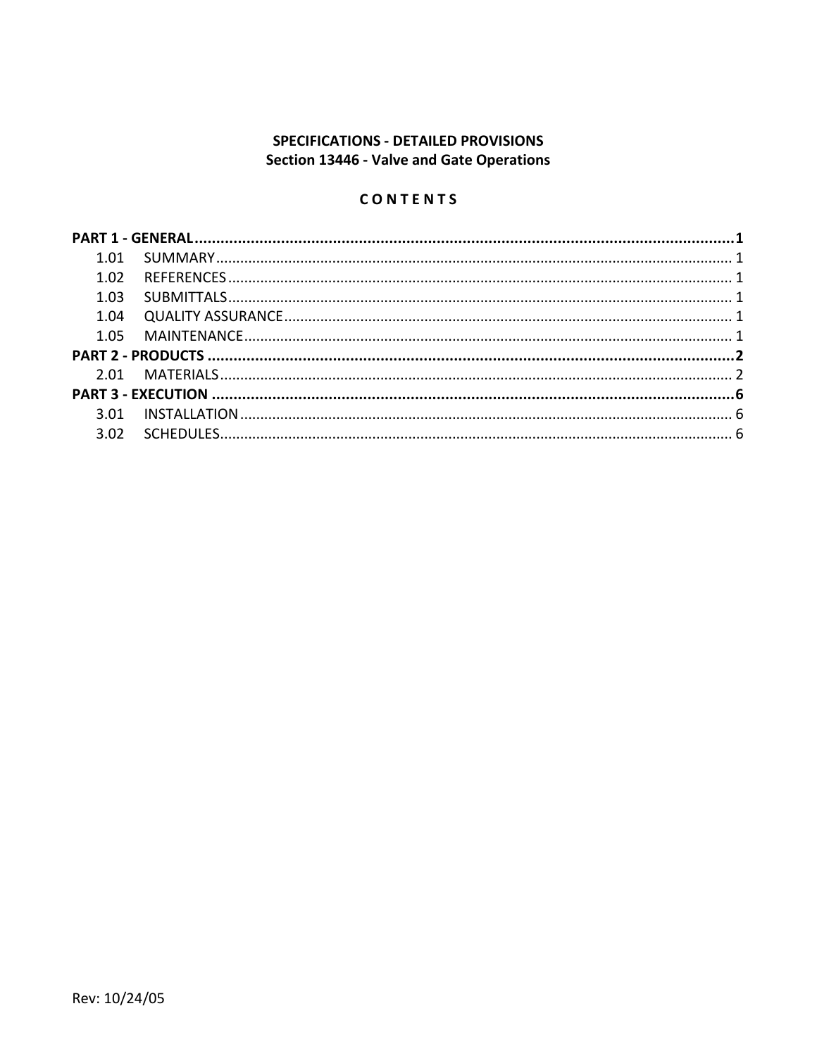# SPECIFICATIONS - DETAILED PROVISIONS Section 13446 - Valve and Gate Operations

# CONTENTS

| 1.02<br>1.03 |  |  |  |  |
|--------------|--|--|--|--|
|              |  |  |  |  |
|              |  |  |  |  |
|              |  |  |  |  |
|              |  |  |  |  |
|              |  |  |  |  |
|              |  |  |  |  |
|              |  |  |  |  |
|              |  |  |  |  |
|              |  |  |  |  |
|              |  |  |  |  |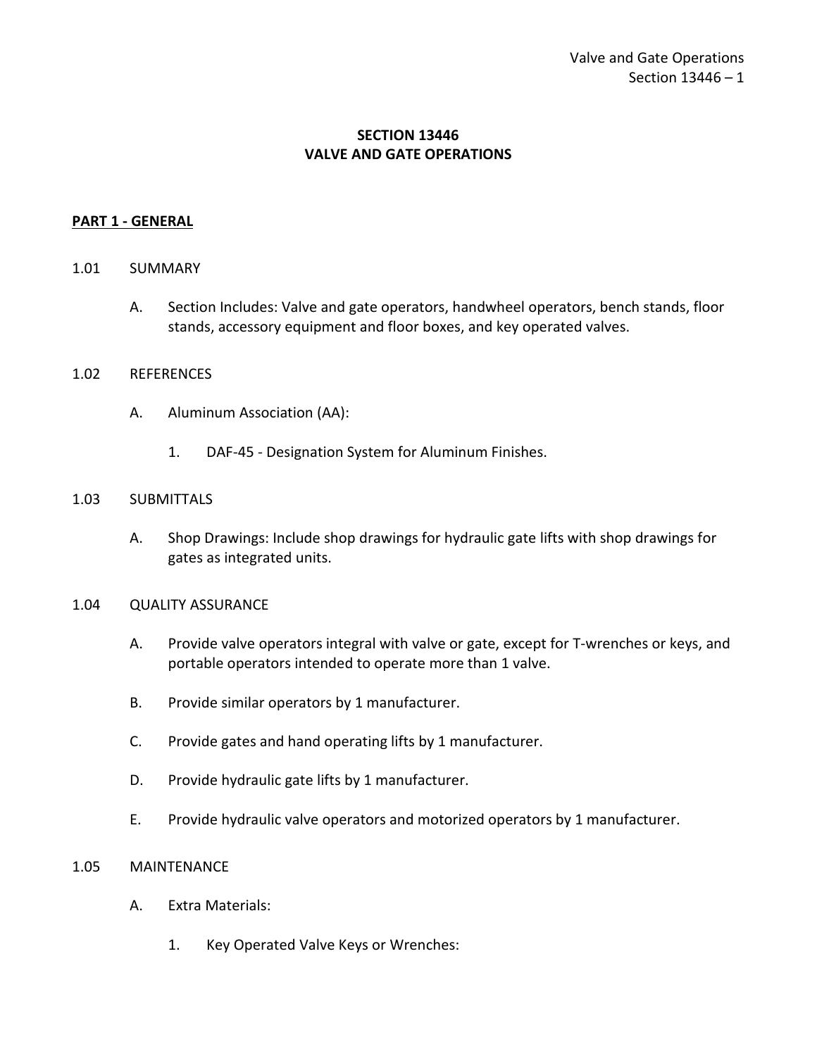## **SECTION 13446 VALVE AND GATE OPERATIONS**

#### <span id="page-2-0"></span>**PART 1 - GENERAL**

#### <span id="page-2-1"></span>1.01 SUMMARY

A. Section Includes: Valve and gate operators, handwheel operators, bench stands, floor stands, accessory equipment and floor boxes, and key operated valves.

#### <span id="page-2-2"></span>1.02 REFERENCES

- A. Aluminum Association (AA):
	- 1. DAF-45 Designation System for Aluminum Finishes.

#### <span id="page-2-3"></span>1.03 SUBMITTALS

A. Shop Drawings: Include shop drawings for hydraulic gate lifts with shop drawings for gates as integrated units.

#### <span id="page-2-4"></span>1.04 QUALITY ASSURANCE

- A. Provide valve operators integral with valve or gate, except for T-wrenches or keys, and portable operators intended to operate more than 1 valve.
- B. Provide similar operators by 1 manufacturer.
- C. Provide gates and hand operating lifts by 1 manufacturer.
- D. Provide hydraulic gate lifts by 1 manufacturer.
- E. Provide hydraulic valve operators and motorized operators by 1 manufacturer.

#### <span id="page-2-5"></span>1.05 MAINTENANCE

- A. Extra Materials:
	- 1. Key Operated Valve Keys or Wrenches: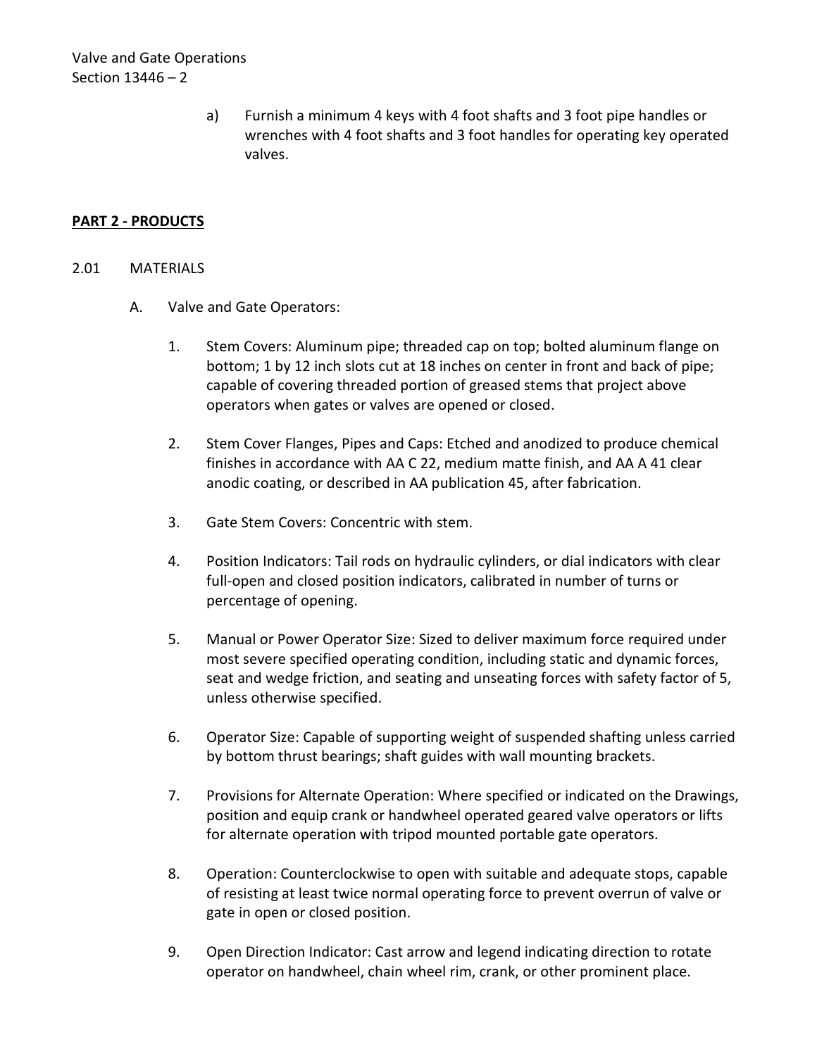Valve and Gate Operations Section 13446 – 2

> a) Furnish a minimum 4 keys with 4 foot shafts and 3 foot pipe handles or wrenches with 4 foot shafts and 3 foot handles for operating key operated valves.

## <span id="page-3-0"></span>**PART 2 - PRODUCTS**

#### <span id="page-3-1"></span>2.01 MATERIALS

- A. Valve and Gate Operators:
	- 1. Stem Covers: Aluminum pipe; threaded cap on top; bolted aluminum flange on bottom; 1 by 12 inch slots cut at 18 inches on center in front and back of pipe; capable of covering threaded portion of greased stems that project above operators when gates or valves are opened or closed.
	- 2. Stem Cover Flanges, Pipes and Caps: Etched and anodized to produce chemical finishes in accordance with AA C 22, medium matte finish, and AA A 41 clear anodic coating, or described in AA publication 45, after fabrication.
	- 3. Gate Stem Covers: Concentric with stem.
	- 4. Position Indicators: Tail rods on hydraulic cylinders, or dial indicators with clear full-open and closed position indicators, calibrated in number of turns or percentage of opening.
	- 5. Manual or Power Operator Size: Sized to deliver maximum force required under most severe specified operating condition, including static and dynamic forces, seat and wedge friction, and seating and unseating forces with safety factor of 5, unless otherwise specified.
	- 6. Operator Size: Capable of supporting weight of suspended shafting unless carried by bottom thrust bearings; shaft guides with wall mounting brackets.
	- 7. Provisions for Alternate Operation: Where specified or indicated on the Drawings, position and equip crank or handwheel operated geared valve operators or lifts for alternate operation with tripod mounted portable gate operators.
	- 8. Operation: Counterclockwise to open with suitable and adequate stops, capable of resisting at least twice normal operating force to prevent overrun of valve or gate in open or closed position.
	- 9. Open Direction Indicator: Cast arrow and legend indicating direction to rotate operator on handwheel, chain wheel rim, crank, or other prominent place.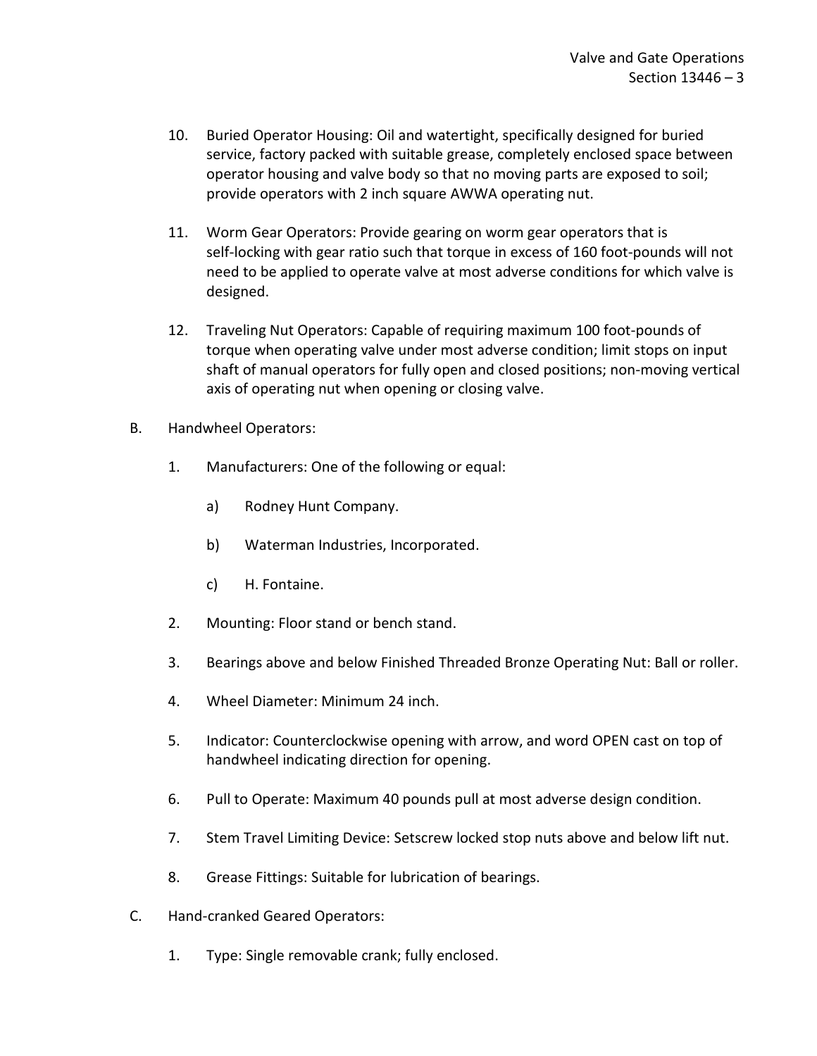- 10. Buried Operator Housing: Oil and watertight, specifically designed for buried service, factory packed with suitable grease, completely enclosed space between operator housing and valve body so that no moving parts are exposed to soil; provide operators with 2 inch square AWWA operating nut.
- 11. Worm Gear Operators: Provide gearing on worm gear operators that is self-locking with gear ratio such that torque in excess of 160 foot-pounds will not need to be applied to operate valve at most adverse conditions for which valve is designed.
- 12. Traveling Nut Operators: Capable of requiring maximum 100 foot-pounds of torque when operating valve under most adverse condition; limit stops on input shaft of manual operators for fully open and closed positions; non-moving vertical axis of operating nut when opening or closing valve.
- B. Handwheel Operators:
	- 1. Manufacturers: One of the following or equal:
		- a) Rodney Hunt Company.
		- b) Waterman Industries, Incorporated.
		- c) H. Fontaine.
	- 2. Mounting: Floor stand or bench stand.
	- 3. Bearings above and below Finished Threaded Bronze Operating Nut: Ball or roller.
	- 4. Wheel Diameter: Minimum 24 inch.
	- 5. Indicator: Counterclockwise opening with arrow, and word OPEN cast on top of handwheel indicating direction for opening.
	- 6. Pull to Operate: Maximum 40 pounds pull at most adverse design condition.
	- 7. Stem Travel Limiting Device: Setscrew locked stop nuts above and below lift nut.
	- 8. Grease Fittings: Suitable for lubrication of bearings.
- C. Hand-cranked Geared Operators:
	- 1. Type: Single removable crank; fully enclosed.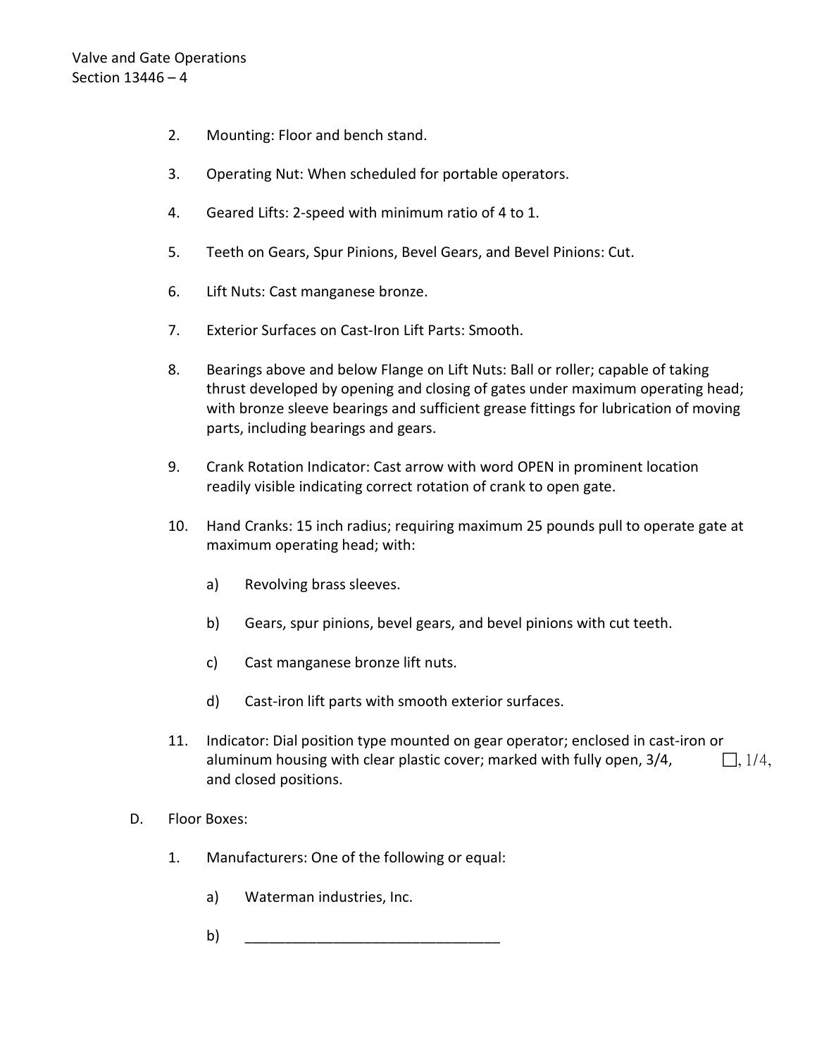- 2. Mounting: Floor and bench stand.
- 3. Operating Nut: When scheduled for portable operators.
- 4. Geared Lifts: 2-speed with minimum ratio of 4 to 1.
- 5. Teeth on Gears, Spur Pinions, Bevel Gears, and Bevel Pinions: Cut.
- 6. Lift Nuts: Cast manganese bronze.
- 7. Exterior Surfaces on Cast-Iron Lift Parts: Smooth.
- 8. Bearings above and below Flange on Lift Nuts: Ball or roller; capable of taking thrust developed by opening and closing of gates under maximum operating head; with bronze sleeve bearings and sufficient grease fittings for lubrication of moving parts, including bearings and gears.
- 9. Crank Rotation Indicator: Cast arrow with word OPEN in prominent location readily visible indicating correct rotation of crank to open gate.
- 10. Hand Cranks: 15 inch radius; requiring maximum 25 pounds pull to operate gate at maximum operating head; with:
	- a) Revolving brass sleeves.
	- b) Gears, spur pinions, bevel gears, and bevel pinions with cut teeth.
	- c) Cast manganese bronze lift nuts.
	- d) Cast-iron lift parts with smooth exterior surfaces.
- 11. Indicator: Dial position type mounted on gear operator; enclosed in cast-iron or aluminum housing with clear plastic cover; marked with fully open,  $3/4$ ,  $\Box$ ,  $1/4$ , and closed positions.
- D. Floor Boxes:
	- 1. Manufacturers: One of the following or equal:
		- a) Waterman industries, Inc.
		- b) \_\_\_\_\_\_\_\_\_\_\_\_\_\_\_\_\_\_\_\_\_\_\_\_\_\_\_\_\_\_\_\_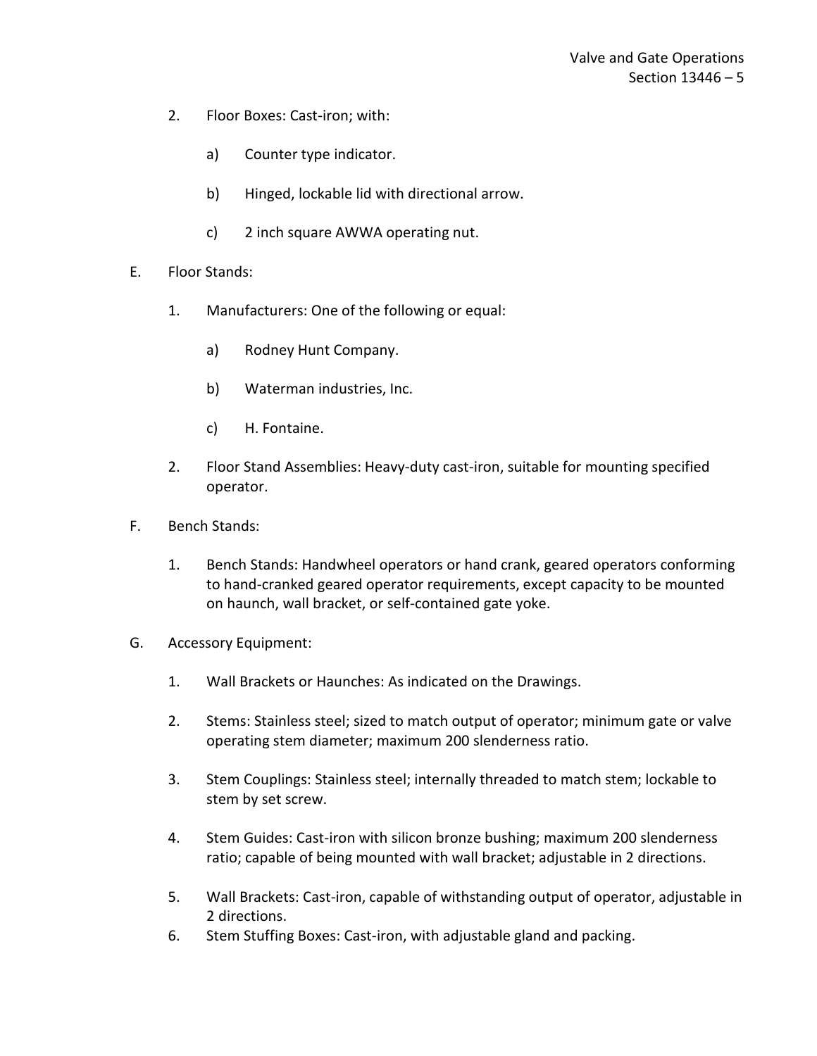- 2. Floor Boxes: Cast-iron; with:
	- a) Counter type indicator.
	- b) Hinged, lockable lid with directional arrow.
	- c) 2 inch square AWWA operating nut.
- E. Floor Stands:
	- 1. Manufacturers: One of the following or equal:
		- a) Rodney Hunt Company.
		- b) Waterman industries, Inc.
		- c) H. Fontaine.
	- 2. Floor Stand Assemblies: Heavy-duty cast-iron, suitable for mounting specified operator.
- F. Bench Stands:
	- 1. Bench Stands: Handwheel operators or hand crank, geared operators conforming to hand-cranked geared operator requirements, except capacity to be mounted on haunch, wall bracket, or self-contained gate yoke.
- G. Accessory Equipment:
	- 1. Wall Brackets or Haunches: As indicated on the Drawings.
	- 2. Stems: Stainless steel; sized to match output of operator; minimum gate or valve operating stem diameter; maximum 200 slenderness ratio.
	- 3. Stem Couplings: Stainless steel; internally threaded to match stem; lockable to stem by set screw.
	- 4. Stem Guides: Cast-iron with silicon bronze bushing; maximum 200 slenderness ratio; capable of being mounted with wall bracket; adjustable in 2 directions.
	- 5. Wall Brackets: Cast-iron, capable of withstanding output of operator, adjustable in 2 directions.
	- 6. Stem Stuffing Boxes: Cast-iron, with adjustable gland and packing.